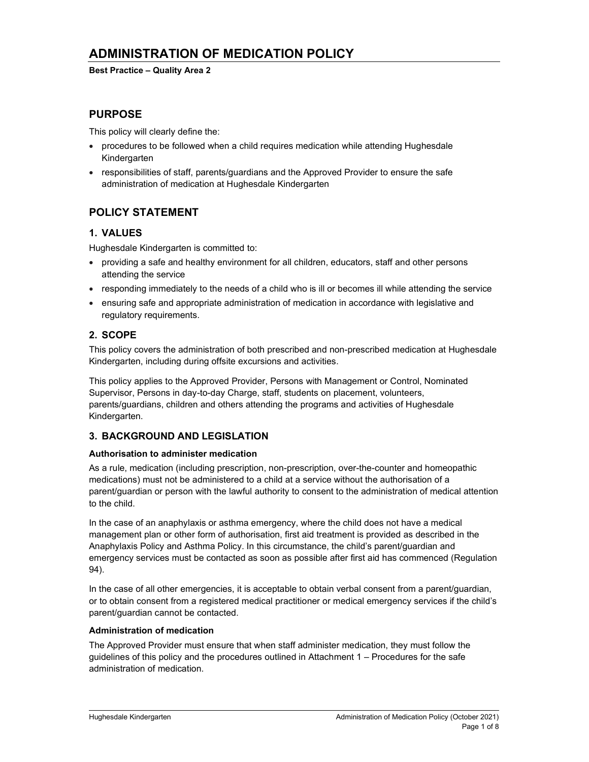# ADMINISTRATION OF MEDICATION POLICY

#### Best Practice – Quality Area 2

## PURPOSE

This policy will clearly define the:

- procedures to be followed when a child requires medication while attending Hughesdale Kindergarten
- responsibilities of staff, parents/guardians and the Approved Provider to ensure the safe administration of medication at Hughesdale Kindergarten

## POLICY STATEMENT

## 1. VALUES

Hughesdale Kindergarten is committed to:

- providing a safe and healthy environment for all children, educators, staff and other persons attending the service
- responding immediately to the needs of a child who is ill or becomes ill while attending the service
- ensuring safe and appropriate administration of medication in accordance with legislative and regulatory requirements.

## 2. SCOPE

This policy covers the administration of both prescribed and non-prescribed medication at Hughesdale Kindergarten, including during offsite excursions and activities.

This policy applies to the Approved Provider, Persons with Management or Control, Nominated Supervisor, Persons in day-to-day Charge, staff, students on placement, volunteers, parents/guardians, children and others attending the programs and activities of Hughesdale Kindergarten.

## 3. BACKGROUND AND LEGISLATION

### Authorisation to administer medication

As a rule, medication (including prescription, non-prescription, over-the-counter and homeopathic medications) must not be administered to a child at a service without the authorisation of a parent/guardian or person with the lawful authority to consent to the administration of medical attention to the child.

In the case of an anaphylaxis or asthma emergency, where the child does not have a medical management plan or other form of authorisation, first aid treatment is provided as described in the Anaphylaxis Policy and Asthma Policy. In this circumstance, the child's parent/guardian and emergency services must be contacted as soon as possible after first aid has commenced (Regulation 94).

In the case of all other emergencies, it is acceptable to obtain verbal consent from a parent/guardian, or to obtain consent from a registered medical practitioner or medical emergency services if the child's parent/guardian cannot be contacted.

### Administration of medication

The Approved Provider must ensure that when staff administer medication, they must follow the guidelines of this policy and the procedures outlined in Attachment 1 – Procedures for the safe administration of medication.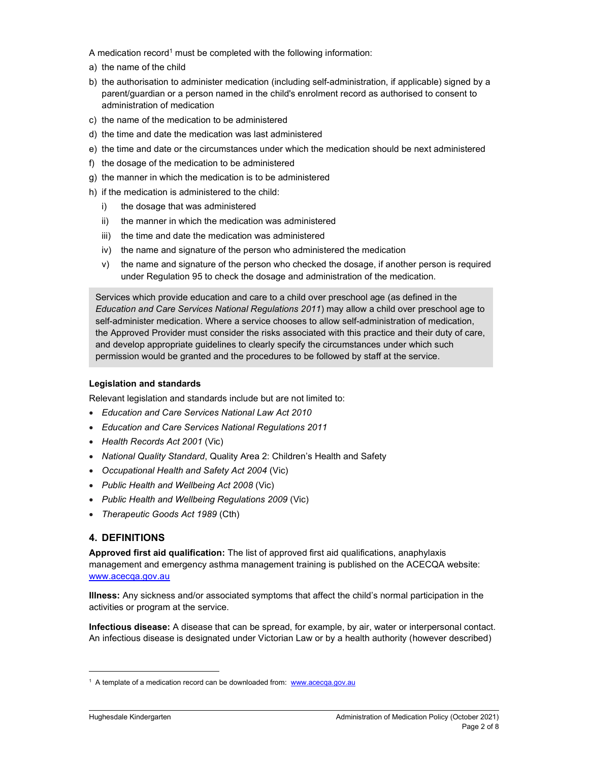A medication record<sup>1</sup> must be completed with the following information:

- a) the name of the child
- b) the authorisation to administer medication (including self-administration, if applicable) signed by a parent/guardian or a person named in the child's enrolment record as authorised to consent to administration of medication
- c) the name of the medication to be administered
- d) the time and date the medication was last administered
- e) the time and date or the circumstances under which the medication should be next administered
- f) the dosage of the medication to be administered
- g) the manner in which the medication is to be administered
- h) if the medication is administered to the child:
	- i) the dosage that was administered
	- ii) the manner in which the medication was administered
	- iii) the time and date the medication was administered
	- iv) the name and signature of the person who administered the medication
	- v) the name and signature of the person who checked the dosage, if another person is required under Regulation 95 to check the dosage and administration of the medication.

Services which provide education and care to a child over preschool age (as defined in the Education and Care Services National Regulations 2011) may allow a child over preschool age to self-administer medication. Where a service chooses to allow self-administration of medication, the Approved Provider must consider the risks associated with this practice and their duty of care, and develop appropriate guidelines to clearly specify the circumstances under which such permission would be granted and the procedures to be followed by staff at the service.

### Legislation and standards

Relevant legislation and standards include but are not limited to:

- Education and Care Services National Law Act 2010
- Education and Care Services National Regulations 2011
- Health Records Act 2001 (Vic)
- National Quality Standard, Quality Area 2: Children's Health and Safety
- Occupational Health and Safety Act 2004 (Vic)
- Public Health and Wellbeing Act 2008 (Vic)
- Public Health and Wellbeing Regulations 2009 (Vic)
- Therapeutic Goods Act 1989 (Cth)

### 4. DEFINITIONS

Approved first aid qualification: The list of approved first aid qualifications, anaphylaxis management and emergency asthma management training is published on the ACECQA website: www.acecqa.gov.au

Illness: Any sickness and/or associated symptoms that affect the child's normal participation in the activities or program at the service.

Infectious disease: A disease that can be spread, for example, by air, water or interpersonal contact. An infectious disease is designated under Victorian Law or by a health authority (however described)

<sup>&</sup>lt;sup>1</sup> A template of a medication record can be downloaded from: www.acecqa.gov.au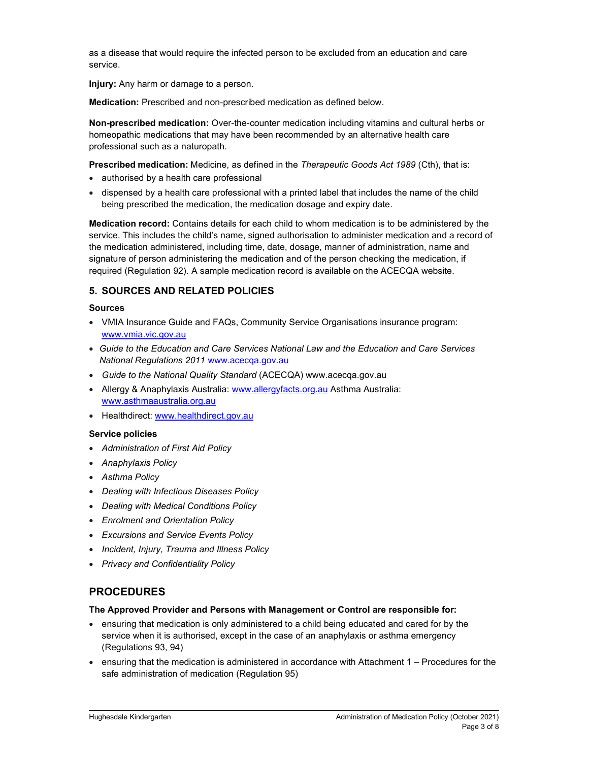as a disease that would require the infected person to be excluded from an education and care service.

Injury: Any harm or damage to a person.

Medication: Prescribed and non-prescribed medication as defined below.

Non-prescribed medication: Over-the-counter medication including vitamins and cultural herbs or homeopathic medications that may have been recommended by an alternative health care professional such as a naturopath.

Prescribed medication: Medicine, as defined in the Therapeutic Goods Act 1989 (Cth), that is:

- authorised by a health care professional
- dispensed by a health care professional with a printed label that includes the name of the child being prescribed the medication, the medication dosage and expiry date.

Medication record: Contains details for each child to whom medication is to be administered by the service. This includes the child's name, signed authorisation to administer medication and a record of the medication administered, including time, date, dosage, manner of administration, name and signature of person administering the medication and of the person checking the medication, if required (Regulation 92). A sample medication record is available on the ACECQA website.

## 5. SOURCES AND RELATED POLICIES

#### Sources

- VMIA Insurance Guide and FAQs, Community Service Organisations insurance program: www.vmia.vic.gov.au
- Guide to the Education and Care Services National Law and the Education and Care Services National Regulations 2011 www.acecqa.gov.au
- Guide to the National Quality Standard (ACECQA) www.acecqa.gov.au
- Allergy & Anaphylaxis Australia: www.allergyfacts.org.au Asthma Australia: www.asthmaaustralia.org.au
- Healthdirect: www.healthdirect.gov.au

### Service policies

- Administration of First Aid Policy
- Anaphylaxis Policy
- Asthma Policy
- Dealing with Infectious Diseases Policy
- Dealing with Medical Conditions Policy
- Enrolment and Orientation Policy
- **Excursions and Service Events Policy**
- Incident, Injury, Trauma and Illness Policy
- Privacy and Confidentiality Policy

## PROCEDURES

#### The Approved Provider and Persons with Management or Control are responsible for:

- ensuring that medication is only administered to a child being educated and cared for by the service when it is authorised, except in the case of an anaphylaxis or asthma emergency (Regulations 93, 94)
- ensuring that the medication is administered in accordance with Attachment 1 Procedures for the safe administration of medication (Regulation 95)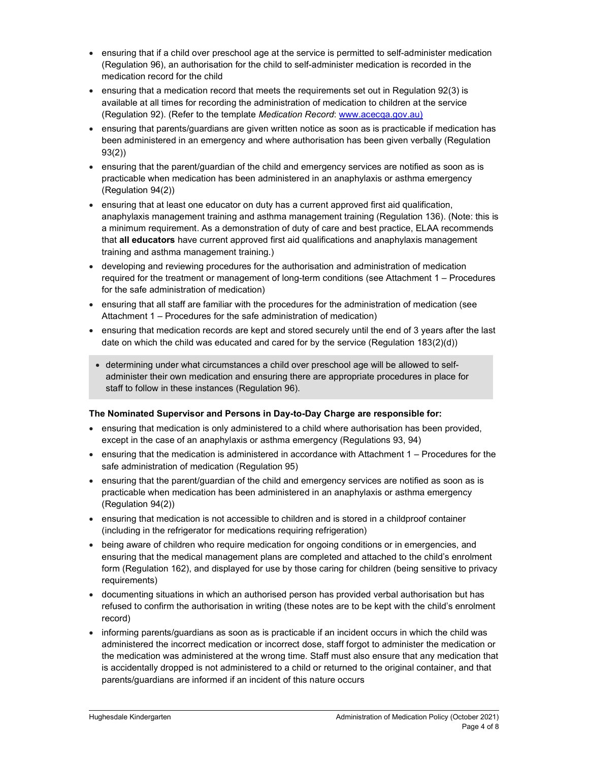- ensuring that if a child over preschool age at the service is permitted to self-administer medication (Regulation 96), an authorisation for the child to self-administer medication is recorded in the medication record for the child
- ensuring that a medication record that meets the requirements set out in Regulation 92(3) is available at all times for recording the administration of medication to children at the service (Regulation 92). (Refer to the template Medication Record: www.acecqa.gov.au)
- ensuring that parents/guardians are given written notice as soon as is practicable if medication has been administered in an emergency and where authorisation has been given verbally (Regulation 93(2))
- ensuring that the parent/guardian of the child and emergency services are notified as soon as is practicable when medication has been administered in an anaphylaxis or asthma emergency (Regulation 94(2))
- ensuring that at least one educator on duty has a current approved first aid qualification, anaphylaxis management training and asthma management training (Regulation 136). (Note: this is a minimum requirement. As a demonstration of duty of care and best practice, ELAA recommends that all educators have current approved first aid qualifications and anaphylaxis management training and asthma management training.)
- developing and reviewing procedures for the authorisation and administration of medication required for the treatment or management of long-term conditions (see Attachment 1 – Procedures for the safe administration of medication)
- ensuring that all staff are familiar with the procedures for the administration of medication (see Attachment 1 – Procedures for the safe administration of medication)
- ensuring that medication records are kept and stored securely until the end of 3 years after the last date on which the child was educated and cared for by the service (Regulation 183(2)(d))
- determining under what circumstances a child over preschool age will be allowed to selfadminister their own medication and ensuring there are appropriate procedures in place for staff to follow in these instances (Regulation 96).

### The Nominated Supervisor and Persons in Day-to-Day Charge are responsible for:

- ensuring that medication is only administered to a child where authorisation has been provided, except in the case of an anaphylaxis or asthma emergency (Regulations 93, 94)
- ensuring that the medication is administered in accordance with Attachment 1 Procedures for the safe administration of medication (Regulation 95)
- ensuring that the parent/guardian of the child and emergency services are notified as soon as is practicable when medication has been administered in an anaphylaxis or asthma emergency (Regulation 94(2))
- ensuring that medication is not accessible to children and is stored in a childproof container (including in the refrigerator for medications requiring refrigeration)
- being aware of children who require medication for ongoing conditions or in emergencies, and ensuring that the medical management plans are completed and attached to the child's enrolment form (Regulation 162), and displayed for use by those caring for children (being sensitive to privacy requirements)
- documenting situations in which an authorised person has provided verbal authorisation but has refused to confirm the authorisation in writing (these notes are to be kept with the child's enrolment record)
- $\bullet$  informing parents/guardians as soon as is practicable if an incident occurs in which the child was administered the incorrect medication or incorrect dose, staff forgot to administer the medication or the medication was administered at the wrong time. Staff must also ensure that any medication that is accidentally dropped is not administered to a child or returned to the original container, and that parents/guardians are informed if an incident of this nature occurs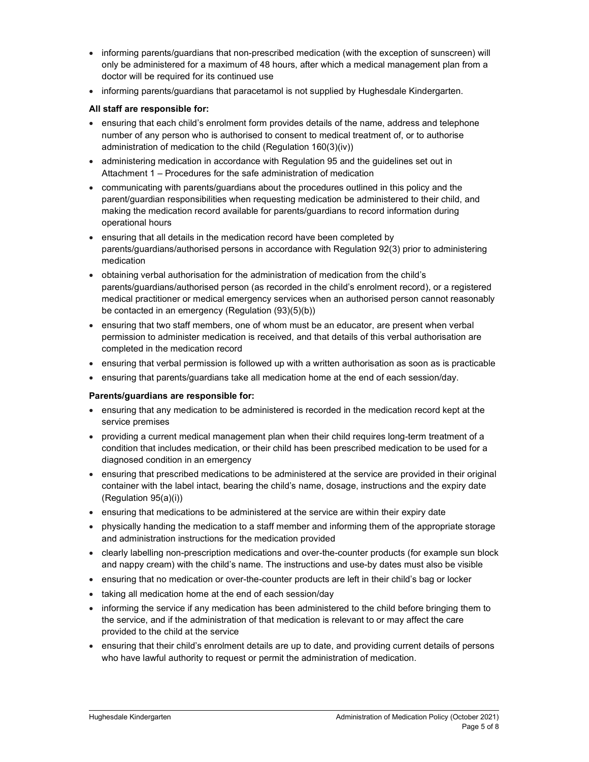- informing parents/guardians that non-prescribed medication (with the exception of sunscreen) will only be administered for a maximum of 48 hours, after which a medical management plan from a doctor will be required for its continued use
- informing parents/guardians that paracetamol is not supplied by Hughesdale Kindergarten.

## All staff are responsible for:

- ensuring that each child's enrolment form provides details of the name, address and telephone number of any person who is authorised to consent to medical treatment of, or to authorise administration of medication to the child (Regulation 160(3)(iv))
- administering medication in accordance with Regulation 95 and the guidelines set out in Attachment 1 – Procedures for the safe administration of medication
- communicating with parents/guardians about the procedures outlined in this policy and the parent/guardian responsibilities when requesting medication be administered to their child, and making the medication record available for parents/guardians to record information during operational hours
- ensuring that all details in the medication record have been completed by parents/guardians/authorised persons in accordance with Regulation 92(3) prior to administering medication
- obtaining verbal authorisation for the administration of medication from the child's parents/guardians/authorised person (as recorded in the child's enrolment record), or a registered medical practitioner or medical emergency services when an authorised person cannot reasonably be contacted in an emergency (Regulation (93)(5)(b))
- ensuring that two staff members, one of whom must be an educator, are present when verbal permission to administer medication is received, and that details of this verbal authorisation are completed in the medication record
- ensuring that verbal permission is followed up with a written authorisation as soon as is practicable
- ensuring that parents/guardians take all medication home at the end of each session/day.

### Parents/guardians are responsible for:

- ensuring that any medication to be administered is recorded in the medication record kept at the service premises
- providing a current medical management plan when their child requires long-term treatment of a condition that includes medication, or their child has been prescribed medication to be used for a diagnosed condition in an emergency
- ensuring that prescribed medications to be administered at the service are provided in their original container with the label intact, bearing the child's name, dosage, instructions and the expiry date (Regulation 95(a)(i))
- ensuring that medications to be administered at the service are within their expiry date
- physically handing the medication to a staff member and informing them of the appropriate storage and administration instructions for the medication provided
- clearly labelling non-prescription medications and over-the-counter products (for example sun block and nappy cream) with the child's name. The instructions and use-by dates must also be visible
- ensuring that no medication or over-the-counter products are left in their child's bag or locker
- taking all medication home at the end of each session/day
- informing the service if any medication has been administered to the child before bringing them to the service, and if the administration of that medication is relevant to or may affect the care provided to the child at the service
- ensuring that their child's enrolment details are up to date, and providing current details of persons who have lawful authority to request or permit the administration of medication.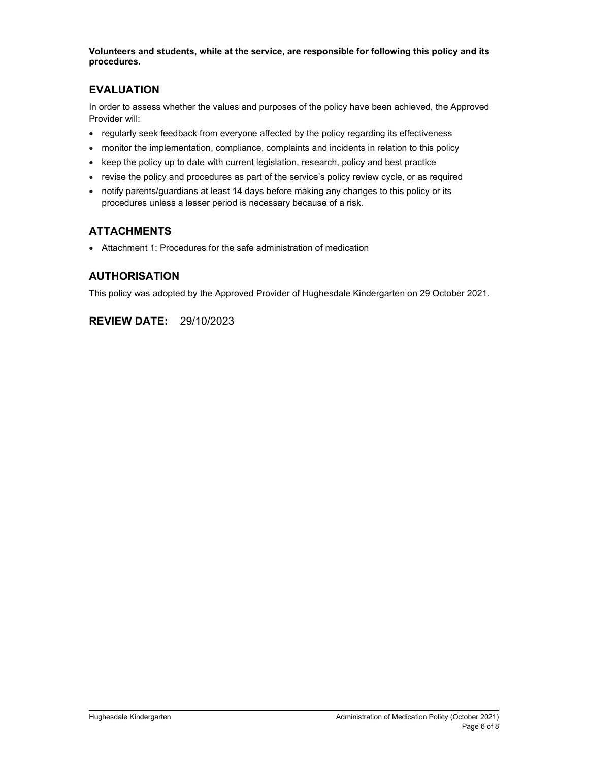Volunteers and students, while at the service, are responsible for following this policy and its procedures.

## EVALUATION

In order to assess whether the values and purposes of the policy have been achieved, the Approved Provider will:

- regularly seek feedback from everyone affected by the policy regarding its effectiveness
- monitor the implementation, compliance, complaints and incidents in relation to this policy
- $\bullet$  keep the policy up to date with current legislation, research, policy and best practice
- revise the policy and procedures as part of the service's policy review cycle, or as required
- notify parents/guardians at least 14 days before making any changes to this policy or its procedures unless a lesser period is necessary because of a risk.

## ATTACHMENTS

Attachment 1: Procedures for the safe administration of medication

## AUTHORISATION

This policy was adopted by the Approved Provider of Hughesdale Kindergarten on 29 October 2021.

## REVIEW DATE: 29/10/2023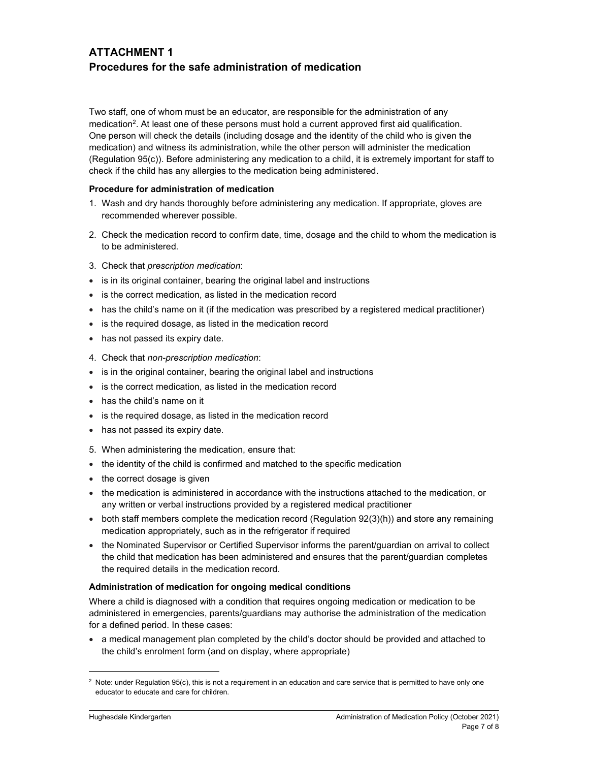## ATTACHMENT 1 Procedures for the safe administration of medication

Two staff, one of whom must be an educator, are responsible for the administration of any medication<sup>2</sup>. At least one of these persons must hold a current approved first aid qualification. One person will check the details (including dosage and the identity of the child who is given the medication) and witness its administration, while the other person will administer the medication (Regulation 95(c)). Before administering any medication to a child, it is extremely important for staff to check if the child has any allergies to the medication being administered.

### Procedure for administration of medication

- 1. Wash and dry hands thoroughly before administering any medication. If appropriate, gloves are recommended wherever possible.
- 2. Check the medication record to confirm date, time, dosage and the child to whom the medication is to be administered.
- 3. Check that prescription medication:
- is in its original container, bearing the original label and instructions
- is the correct medication, as listed in the medication record
- has the child's name on it (if the medication was prescribed by a registered medical practitioner)
- is the required dosage, as listed in the medication record
- has not passed its expiry date.
- 4. Check that non-prescription medication:
- is in the original container, bearing the original label and instructions
- is the correct medication, as listed in the medication record
- has the child's name on it
- is the required dosage, as listed in the medication record
- has not passed its expiry date.
- 5. When administering the medication, ensure that:
- the identity of the child is confirmed and matched to the specific medication
- the correct dosage is given
- the medication is administered in accordance with the instructions attached to the medication, or any written or verbal instructions provided by a registered medical practitioner
- both staff members complete the medication record (Regulation 92(3)(h)) and store any remaining medication appropriately, such as in the refrigerator if required
- the Nominated Supervisor or Certified Supervisor informs the parent/guardian on arrival to collect the child that medication has been administered and ensures that the parent/guardian completes the required details in the medication record.

### Administration of medication for ongoing medical conditions

Where a child is diagnosed with a condition that requires ongoing medication or medication to be administered in emergencies, parents/guardians may authorise the administration of the medication for a defined period. In these cases:

 a medical management plan completed by the child's doctor should be provided and attached to the child's enrolment form (and on display, where appropriate)

 $^2$  Note: under Regulation 95(c), this is not a requirement in an education and care service that is permitted to have only one educator to educate and care for children.